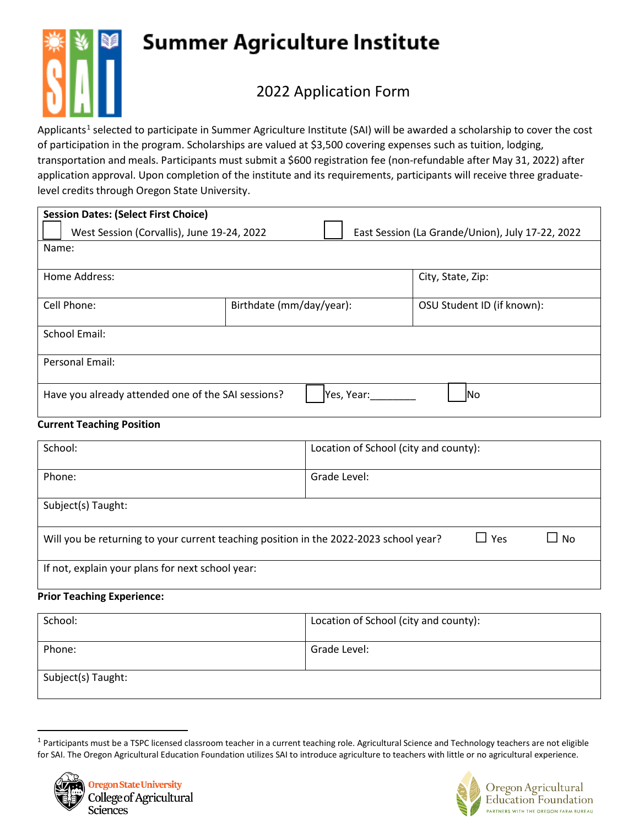# **Summer Agriculture Institute**



## 2022 Application Form

Applicants<sup>[1](#page-0-0)</sup> selected to participate in Summer Agriculture Institute (SAI) will be awarded a scholarship to cover the cost of participation in the program. Scholarships are valued at \$3,500 covering expenses such as tuition, lodging, transportation and meals. Participants must submit a \$600 registration fee (non-refundable after May 31, 2022) after application approval. Upon completion of the institute and its requirements, participants will receive three graduatelevel credits through Oregon State University.

| <b>Session Dates: (Select First Choice)</b>        |                          |                                                  |
|----------------------------------------------------|--------------------------|--------------------------------------------------|
| West Session (Corvallis), June 19-24, 2022         |                          | East Session (La Grande/Union), July 17-22, 2022 |
| Name:                                              |                          |                                                  |
| Home Address:                                      |                          | City, State, Zip:                                |
| Cell Phone:                                        | Birthdate (mm/day/year): | OSU Student ID (if known):                       |
| <b>School Email:</b>                               |                          |                                                  |
| Personal Email:                                    |                          |                                                  |
| Have you already attended one of the SAI sessions? | Yes, Year:               | <b>INo</b>                                       |

### **Current Teaching Position**

| School:                                                                               | Location of School (city and county): |  |
|---------------------------------------------------------------------------------------|---------------------------------------|--|
| Phone:                                                                                | Grade Level:                          |  |
| Subject(s) Taught:                                                                    |                                       |  |
| Will you be returning to your current teaching position in the 2022-2023 school year? | $\Box$ Yes<br>$\sqcup$ No             |  |
| If not, explain your plans for next school year:                                      |                                       |  |

#### **Prior Teaching Experience:**

| School:            | Location of School (city and county): |
|--------------------|---------------------------------------|
| Phone:             | Grade Level:                          |
| Subject(s) Taught: |                                       |

<span id="page-0-0"></span> $1$  Participants must be a TSPC licensed classroom teacher in a current teaching role. Agricultural Science and Technology teachers are not eligible for SAI. The Oregon Agricultural Education Foundation utilizes SAI to introduce agriculture to teachers with little or no agricultural experience.